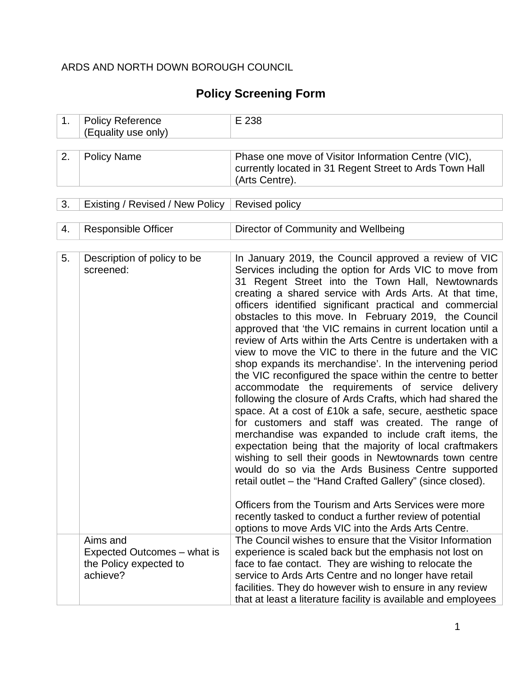### ARDS AND NORTH DOWN BOROUGH COUNCIL

# **Policy Screening Form**

| 1. | <b>Policy Reference</b><br>(Equality use only) | E 238                                                                                                                                                                                                                                                                                                                                                                                                                                                                                                                                                                                                                                                                                                                                                                                                                                                                                                                                                                                                                                                                                                                                                                                                                                                                                                                                                                                  |
|----|------------------------------------------------|----------------------------------------------------------------------------------------------------------------------------------------------------------------------------------------------------------------------------------------------------------------------------------------------------------------------------------------------------------------------------------------------------------------------------------------------------------------------------------------------------------------------------------------------------------------------------------------------------------------------------------------------------------------------------------------------------------------------------------------------------------------------------------------------------------------------------------------------------------------------------------------------------------------------------------------------------------------------------------------------------------------------------------------------------------------------------------------------------------------------------------------------------------------------------------------------------------------------------------------------------------------------------------------------------------------------------------------------------------------------------------------|
|    |                                                |                                                                                                                                                                                                                                                                                                                                                                                                                                                                                                                                                                                                                                                                                                                                                                                                                                                                                                                                                                                                                                                                                                                                                                                                                                                                                                                                                                                        |
| 2. | <b>Policy Name</b>                             | Phase one move of Visitor Information Centre (VIC),<br>currently located in 31 Regent Street to Ards Town Hall<br>(Arts Centre).                                                                                                                                                                                                                                                                                                                                                                                                                                                                                                                                                                                                                                                                                                                                                                                                                                                                                                                                                                                                                                                                                                                                                                                                                                                       |
|    |                                                |                                                                                                                                                                                                                                                                                                                                                                                                                                                                                                                                                                                                                                                                                                                                                                                                                                                                                                                                                                                                                                                                                                                                                                                                                                                                                                                                                                                        |
| 3. | Existing / Revised / New Policy                | Revised policy                                                                                                                                                                                                                                                                                                                                                                                                                                                                                                                                                                                                                                                                                                                                                                                                                                                                                                                                                                                                                                                                                                                                                                                                                                                                                                                                                                         |
| 4. | <b>Responsible Officer</b>                     | Director of Community and Wellbeing                                                                                                                                                                                                                                                                                                                                                                                                                                                                                                                                                                                                                                                                                                                                                                                                                                                                                                                                                                                                                                                                                                                                                                                                                                                                                                                                                    |
|    |                                                |                                                                                                                                                                                                                                                                                                                                                                                                                                                                                                                                                                                                                                                                                                                                                                                                                                                                                                                                                                                                                                                                                                                                                                                                                                                                                                                                                                                        |
| 5. | Description of policy to be<br>screened:       | In January 2019, the Council approved a review of VIC<br>Services including the option for Ards VIC to move from<br>31 Regent Street into the Town Hall, Newtownards<br>creating a shared service with Ards Arts. At that time,<br>officers identified significant practical and commercial<br>obstacles to this move. In February 2019, the Council<br>approved that 'the VIC remains in current location until a<br>review of Arts within the Arts Centre is undertaken with a<br>view to move the VIC to there in the future and the VIC<br>shop expands its merchandise'. In the intervening period<br>the VIC reconfigured the space within the centre to better<br>accommodate the requirements of service delivery<br>following the closure of Ards Crafts, which had shared the<br>space. At a cost of £10k a safe, secure, aesthetic space<br>for customers and staff was created. The range of<br>merchandise was expanded to include craft items, the<br>expectation being that the majority of local craftmakers<br>wishing to sell their goods in Newtownards town centre<br>would do so via the Ards Business Centre supported<br>retail outlet – the "Hand Crafted Gallery" (since closed).<br>Officers from the Tourism and Arts Services were more<br>recently tasked to conduct a further review of potential<br>options to move Ards VIC into the Ards Arts Centre. |
|    | Aims and                                       | The Council wishes to ensure that the Visitor Information                                                                                                                                                                                                                                                                                                                                                                                                                                                                                                                                                                                                                                                                                                                                                                                                                                                                                                                                                                                                                                                                                                                                                                                                                                                                                                                              |
|    | Expected Outcomes – what is                    | experience is scaled back but the emphasis not lost on                                                                                                                                                                                                                                                                                                                                                                                                                                                                                                                                                                                                                                                                                                                                                                                                                                                                                                                                                                                                                                                                                                                                                                                                                                                                                                                                 |
|    | the Policy expected to                         | face to fae contact. They are wishing to relocate the                                                                                                                                                                                                                                                                                                                                                                                                                                                                                                                                                                                                                                                                                                                                                                                                                                                                                                                                                                                                                                                                                                                                                                                                                                                                                                                                  |
|    | achieve?                                       | service to Ards Arts Centre and no longer have retail                                                                                                                                                                                                                                                                                                                                                                                                                                                                                                                                                                                                                                                                                                                                                                                                                                                                                                                                                                                                                                                                                                                                                                                                                                                                                                                                  |
|    |                                                | facilities. They do however wish to ensure in any review<br>that at least a literature facility is available and employees                                                                                                                                                                                                                                                                                                                                                                                                                                                                                                                                                                                                                                                                                                                                                                                                                                                                                                                                                                                                                                                                                                                                                                                                                                                             |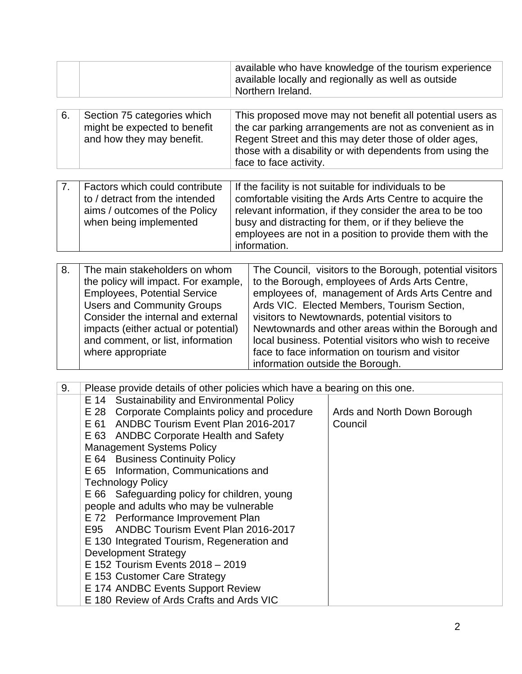| available locally and regionally as well as outside<br><sup>1</sup> Northern Ireland. |  | available who have knowledge of the tourism experience |
|---------------------------------------------------------------------------------------|--|--------------------------------------------------------|
|---------------------------------------------------------------------------------------|--|--------------------------------------------------------|

| 6. | Section 75 categories which  | This proposed move may not benefit all potential users as |
|----|------------------------------|-----------------------------------------------------------|
|    | might be expected to benefit | the car parking arrangements are not as convenient as in  |
|    | and how they may benefit.    | Regent Street and this may deter those of older ages,     |
|    |                              | those with a disability or with dependents from using the |
|    |                              | face to face activity.                                    |

| Factors which could contribute | If the facility is not suitable for individuals to be     |
|--------------------------------|-----------------------------------------------------------|
| to / detract from the intended | comfortable visiting the Ards Arts Centre to acquire the  |
| aims / outcomes of the Policy  | relevant information, if they consider the area to be too |
| when being implemented         | busy and distracting for them, or if they believe the     |
|                                | employees are not in a position to provide them with the  |
|                                | information.                                              |

| 8. | The main stakeholders on whom        | The Council, visitors to the Borough, potential visitors |
|----|--------------------------------------|----------------------------------------------------------|
|    | the policy will impact. For example, | to the Borough, employees of Ards Arts Centre,           |
|    | <b>Employees, Potential Service</b>  | employees of, management of Ards Arts Centre and         |
|    | <b>Users and Community Groups</b>    | Ards VIC. Elected Members, Tourism Section,              |
|    | Consider the internal and external   | visitors to Newtownards, potential visitors to           |
|    | impacts (either actual or potential) | Newtownards and other areas within the Borough and       |
|    | and comment, or list, information    | local business. Potential visitors who wish to receive   |
|    | where appropriate                    | face to face information on tourism and visitor          |
|    |                                      | information outside the Borough.                         |

| 9. | Please provide details of other policies which have a bearing on this one. |                             |
|----|----------------------------------------------------------------------------|-----------------------------|
|    | E 14 Sustainability and Environmental Policy                               |                             |
|    | E 28 Corporate Complaints policy and procedure                             | Ards and North Down Borough |
|    | E 61 ANDBC Tourism Event Plan 2016-2017                                    | Council                     |
|    | E 63 ANDBC Corporate Health and Safety                                     |                             |
|    | <b>Management Systems Policy</b>                                           |                             |
|    | E 64 Business Continuity Policy                                            |                             |
|    | E 65 Information, Communications and                                       |                             |
|    | <b>Technology Policy</b>                                                   |                             |
|    | E 66 Safeguarding policy for children, young                               |                             |
|    | people and adults who may be vulnerable                                    |                             |
|    | E 72 Performance Improvement Plan                                          |                             |
|    | E95 ANDBC Tourism Event Plan 2016-2017                                     |                             |
|    | E 130 Integrated Tourism, Regeneration and                                 |                             |
|    | <b>Development Strategy</b>                                                |                             |
|    | E 152 Tourism Events 2018 - 2019                                           |                             |
|    | E 153 Customer Care Strategy                                               |                             |
|    | E 174 ANDBC Events Support Review                                          |                             |
|    | E 180 Review of Ards Crafts and Ards VIC                                   |                             |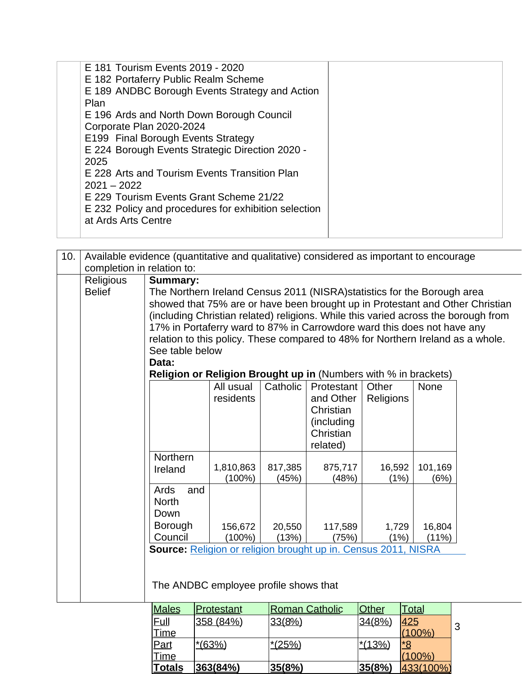| E 181 Tourism Events 2019 - 2020<br>E 182 Portaferry Public Realm Scheme    |  |
|-----------------------------------------------------------------------------|--|
| E 189 ANDBC Borough Events Strategy and Action<br>Plan                      |  |
| E 196 Ards and North Down Borough Council<br>Corporate Plan 2020-2024       |  |
| E199 Final Borough Events Strategy                                          |  |
| E 224 Borough Events Strategic Direction 2020 -<br>2025                     |  |
| E 228 Arts and Tourism Events Transition Plan<br>$2021 - 2022$              |  |
| E 229 Tourism Events Grant Scheme 21/22                                     |  |
| E 232 Policy and procedures for exhibition selection<br>at Ards Arts Centre |  |

| 10. |                            | Available evidence (quantitative and qualitative) considered as important to encourage<br>completion in relation to:                                                                                                                                                                                                                                                                                                                                                                                                                   |                        |                  |                                                                             |                    |                 |  |  |  |  |  |
|-----|----------------------------|----------------------------------------------------------------------------------------------------------------------------------------------------------------------------------------------------------------------------------------------------------------------------------------------------------------------------------------------------------------------------------------------------------------------------------------------------------------------------------------------------------------------------------------|------------------------|------------------|-----------------------------------------------------------------------------|--------------------|-----------------|--|--|--|--|--|
|     | Religious<br><b>Belief</b> | <b>Summary:</b><br>The Northern Ireland Census 2011 (NISRA) statistics for the Borough area<br>showed that 75% are or have been brought up in Protestant and Other Christian<br>(including Christian related) religions. While this varied across the borough from<br>17% in Portaferry ward to 87% in Carrowdore ward this does not have any<br>relation to this policy. These compared to 48% for Northern Ireland as a whole.<br>See table below<br>Data:<br><b>Religion or Religion Brought up in (Numbers with % in brackets)</b> |                        |                  |                                                                             |                    |                 |  |  |  |  |  |
|     |                            |                                                                                                                                                                                                                                                                                                                                                                                                                                                                                                                                        | All usual<br>residents | Catholic         | Protestant<br>and Other<br>Christian<br>(including<br>Christian<br>related) | Other<br>Religions | None            |  |  |  |  |  |
|     |                            | Northern<br>Ireland                                                                                                                                                                                                                                                                                                                                                                                                                                                                                                                    | 1,810,863<br>(100%)    | 817,385<br>(45%) | 875,717<br>(48%)                                                            | 16,592<br>(1%)     | 101,169<br>(6%) |  |  |  |  |  |
|     |                            | Ards<br>and<br><b>North</b><br>Down<br><b>Borough</b><br>20,550<br>117,589<br>156,672<br>1,729<br>16,804<br>Council<br>$(100\%)$<br>(13%)<br>(75%)<br>(1%)<br>(11%)<br>Source: Religion or religion brought up in. Census 2011, NISRA                                                                                                                                                                                                                                                                                                  |                        |                  |                                                                             |                    |                 |  |  |  |  |  |
|     |                            | The ANDBC employee profile shows that<br>$A = 1$                                                                                                                                                                                                                                                                                                                                                                                                                                                                                       | $\Gamma$               | In -             | $O = 41.4$                                                                  | $\sim$             | التواريخ التوا  |  |  |  |  |  |

| Males       | <u> Protestant</u> | <b>Roman Catholic</b> | <b>Other</b> | Total     |   |
|-------------|--------------------|-----------------------|--------------|-----------|---|
| Eull        | 358 (84%)          | 33(8%)                | 34(8%)       | 425       | 3 |
| <b>Time</b> |                    |                       |              | (100%)    |   |
| Part        | $*(63%)$           | $*(25%)$              | $*13%$       | *8        |   |
| Time        |                    |                       |              | (100%`    |   |
| Totals      | 363(84%)           | 35(8%)                | 35(8%)       | 433(100%) |   |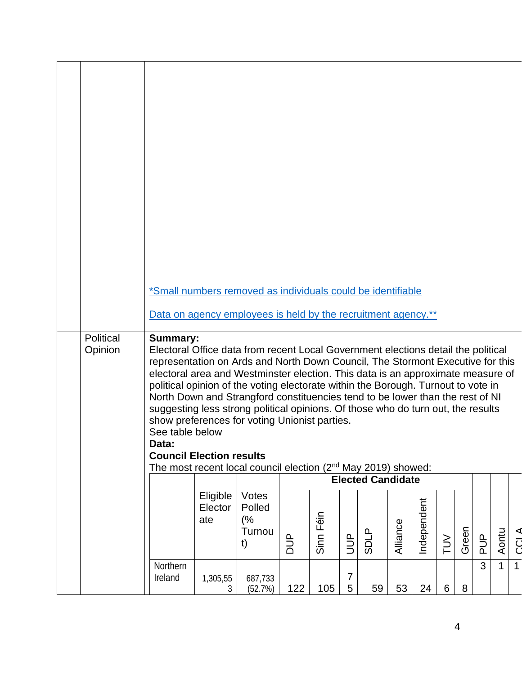|                      | *Small numbers removed as individuals could be identifiable                                                                                                                                                                                                                                                                                                                                                                                                                                                                                                                                                                                                                                                               |                            |                                       |     |           |                      |                          |          |             |                |       |               |              |              |
|----------------------|---------------------------------------------------------------------------------------------------------------------------------------------------------------------------------------------------------------------------------------------------------------------------------------------------------------------------------------------------------------------------------------------------------------------------------------------------------------------------------------------------------------------------------------------------------------------------------------------------------------------------------------------------------------------------------------------------------------------------|----------------------------|---------------------------------------|-----|-----------|----------------------|--------------------------|----------|-------------|----------------|-------|---------------|--------------|--------------|
|                      | Data on agency employees is held by the recruitment agency.**                                                                                                                                                                                                                                                                                                                                                                                                                                                                                                                                                                                                                                                             |                            |                                       |     |           |                      |                          |          |             |                |       |               |              |              |
| Political<br>Opinion | <b>Summary:</b><br>Electoral Office data from recent Local Government elections detail the political<br>representation on Ards and North Down Council, The Stormont Executive for this<br>electoral area and Westminster election. This data is an approximate measure of<br>political opinion of the voting electorate within the Borough. Turnout to vote in<br>North Down and Strangford constituencies tend to be lower than the rest of NI<br>suggesting less strong political opinions. Of those who do turn out, the results<br>show preferences for voting Unionist parties.<br>See table below<br>Data:<br><b>Council Election results</b><br>The most recent local council election $(2^{nd}$ May 2019) showed: |                            |                                       |     |           |                      |                          |          |             |                |       |               |              |              |
|                      |                                                                                                                                                                                                                                                                                                                                                                                                                                                                                                                                                                                                                                                                                                                           |                            |                                       |     |           |                      | <b>Elected Candidate</b> |          |             |                |       |               |              |              |
|                      |                                                                                                                                                                                                                                                                                                                                                                                                                                                                                                                                                                                                                                                                                                                           | Eligible<br>Elector<br>ate | Votes<br>Polled<br>(%<br>Turnou<br>t) | DUP | Sinn Féin | $\frac{p}{\sqrt{2}}$ | <b>SDLP</b>              | Alliance | Independent | $\geq$         | Green | $\frac{p}{q}$ | Aontu        | <b>ATCLA</b> |
|                      | Northern<br>Ireland                                                                                                                                                                                                                                                                                                                                                                                                                                                                                                                                                                                                                                                                                                       | 1,305,55<br>3              | 687,733<br>(52.7%)                    | 122 | 105       | $\overline{7}$<br>5  | 59                       | 53       | 24          | $6\phantom{1}$ | 8     | 3             | $\mathbf{1}$ | $\mathbf{1}$ |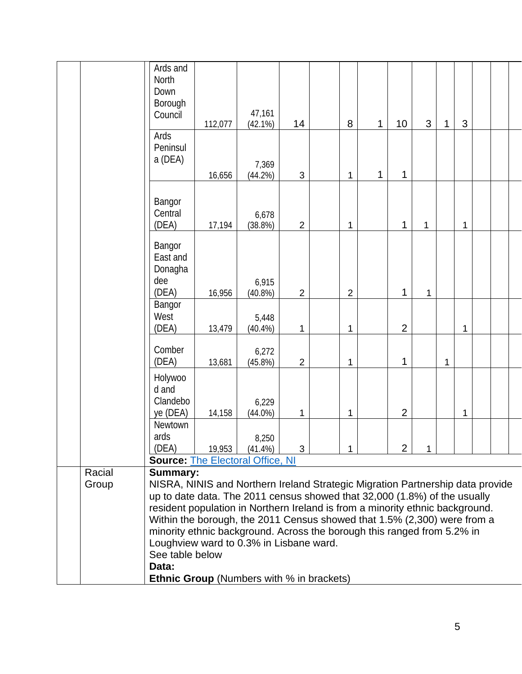|                         | Ards and<br>North<br>Down<br>Borough<br>Council                                                                                                                                                                                                                                                                                                                                                                                                                                                                                                   | 112,077 | 47,161<br>(42.1%)   | 14             | 8 | 1 | 10             | 3 | 1 | 3 |  |
|-------------------------|---------------------------------------------------------------------------------------------------------------------------------------------------------------------------------------------------------------------------------------------------------------------------------------------------------------------------------------------------------------------------------------------------------------------------------------------------------------------------------------------------------------------------------------------------|---------|---------------------|----------------|---|---|----------------|---|---|---|--|
|                         | Ards<br>Peninsul<br>a (DEA)                                                                                                                                                                                                                                                                                                                                                                                                                                                                                                                       | 16,656  | 7,369<br>(44.2%)    | $\sqrt{3}$     | 1 | 1 | 1              |   |   |   |  |
|                         | Bangor<br>Central<br>(DEA)                                                                                                                                                                                                                                                                                                                                                                                                                                                                                                                        | 17,194  | 6,678<br>(38.8%)    | $\overline{2}$ | 1 |   | 1              | 1 |   | 1 |  |
|                         | Bangor<br>East and<br>Donagha<br>dee<br>(DEA)                                                                                                                                                                                                                                                                                                                                                                                                                                                                                                     | 16,956  | 6,915<br>(40.8%)    | $\overline{2}$ | 2 |   | 1              | 1 |   |   |  |
| Bangor<br>West<br>(DEA) |                                                                                                                                                                                                                                                                                                                                                                                                                                                                                                                                                   | 13,479  | 5,448<br>$(40.4\%)$ | 1              | 1 |   | $\overline{2}$ |   |   | 1 |  |
|                         | Comber<br>(DEA)                                                                                                                                                                                                                                                                                                                                                                                                                                                                                                                                   | 13,681  | 6,272<br>(45.8%)    | $\overline{2}$ | 1 |   | 1              |   | 1 |   |  |
|                         | Holywoo<br>d and<br>Clandebo<br>ye (DEA)                                                                                                                                                                                                                                                                                                                                                                                                                                                                                                          | 14,158  | 6,229<br>$(44.0\%)$ | 1              | 1 |   | $\overline{2}$ |   |   | 1 |  |
|                         | Newtown<br>ards<br>(DEA)<br><b>Source: The Electoral Office, NI</b>                                                                                                                                                                                                                                                                                                                                                                                                                                                                               | 19,953  | 8,250<br>$(41.4\%)$ | 3              | 1 |   | $\overline{2}$ | 1 |   |   |  |
| Racial<br>Group         | <b>Summary:</b><br>NISRA, NINIS and Northern Ireland Strategic Migration Partnership data provide<br>up to date data. The 2011 census showed that 32,000 (1.8%) of the usually<br>resident population in Northern Ireland is from a minority ethnic background.<br>Within the borough, the 2011 Census showed that 1.5% (2,300) were from a<br>minority ethnic background. Across the borough this ranged from 5.2% in<br>Loughview ward to 0.3% in Lisbane ward.<br>See table below<br>Data:<br><b>Ethnic Group</b> (Numbers with % in brackets) |         |                     |                |   |   |                |   |   |   |  |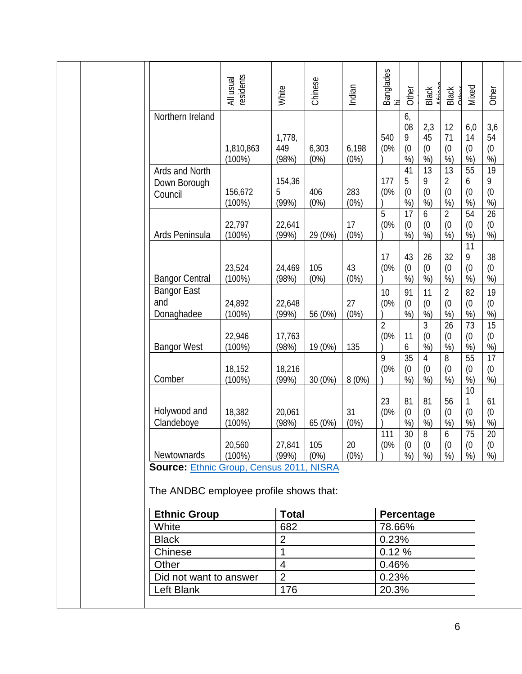|                                                                                           | residents<br>All usual | White                  | Chinese       | Indian        | Banglades<br>hi       | Other                     | Black<br>ممنعه             | <b>Black</b><br>ہ<br>مط <del>ان</del> ہ | Mixed                     | Other                                   |
|-------------------------------------------------------------------------------------------|------------------------|------------------------|---------------|---------------|-----------------------|---------------------------|----------------------------|-----------------------------------------|---------------------------|-----------------------------------------|
| Northern Ireland                                                                          | 1,810,863<br>$(100\%)$ | 1,778,<br>449<br>(98%) | 6,303<br>(0%) | 6,198<br>(0%) | 540<br>(0%            | 6,<br>08<br>9<br>(0)<br>% | 2,3<br>45<br>(0)<br>%      | 12<br>71<br>(0)<br>%)                   | 6,0<br>14<br>(0)<br>%     | 3,6<br>54<br>(0)<br>%)                  |
| Ards and North<br>Down Borough<br>Council                                                 | 156,672<br>$(100\%)$   | 154,36<br>5<br>(99%)   | 406<br>(0%)   | 283<br>(0%)   | 177<br>(0%            | 41<br>5<br>(0)<br>%       | 13<br>9<br>(0)<br>%        | 13<br>$\overline{2}$<br>(0)<br>%)       | 55<br>6<br>(0)<br>%       | 19<br>9<br>(0)<br>$\frac{9}{6}$         |
| Ards Peninsula                                                                            | 22,797<br>$(100\%)$    | 22,641<br>(99%)        | 29 (0%)       | 17<br>(0%)    | 5<br>(0%              | 17<br>(0)<br>%            | 6<br>(0)<br>%              | $\overline{2}$<br>(0)<br>%              | 54<br>(0)<br>%            | 26<br>(0)<br>%)                         |
| <b>Bangor Central</b>                                                                     | 23,524<br>$(100\%)$    | 24,469<br>(98%)        | 105<br>(0%)   | 43<br>(0%)    | 17<br>(0%             | 43<br>(0)<br>%            | 26<br>(0)<br>%)            | 32<br>(0)<br>%                          | 11<br>9<br>(0)<br>%       | 38<br>(0)<br>%)                         |
| <b>Bangor East</b><br>and<br>Donaghadee                                                   | 24,892<br>(100%)       | 22,648<br>(99%)        | 56 (0%)       | 27<br>(0%)    | 10<br>(0%             | 91<br>(0)<br>%            | 11<br>(0)<br>%             | $\overline{2}$<br>(0)<br>%)             | 82<br>(0)<br>%)           | 19<br>(0)<br>%                          |
| <b>Bangor West</b>                                                                        | 22,946<br>$(100\%)$    | 17,763<br>(98%)        | 19 (0%)       | 135           | $\overline{2}$<br>(0% | 11<br>6                   | $\overline{3}$<br>(0)<br>% | 26<br>(0)<br>%)                         | 73<br>(0)<br>%            | $\overline{15}$<br>(0)<br>$\frac{9}{6}$ |
| Comber                                                                                    | 18,152<br>(100%)       | 18,216<br>(99%)        | 30 (0%)       | 8(0%)         | 9<br>(0%              | 35<br>(0)<br>%)           | 4<br>(0)<br>%)             | 8<br>(0)<br>%)                          | 55<br>(0)<br>%)           | 17<br>(0)<br>%)                         |
| Holywood and<br>Clandeboye                                                                | 18,382<br>$(100\%)$    | 20,061<br>(98%)        | 65 (0%)       | 31<br>(0%)    | 23<br>(0%<br>111      | 81<br>(0)<br>%<br>30      | 81<br>(0)<br>%<br>8        | 56<br>(0)<br>%)<br>6                    | 10<br>1<br>(0)<br>%<br>75 | 61<br>(0)<br>%<br>20                    |
| Newtownards                                                                               | 20,560<br>$(100\%)$    | 27,841<br>(99%)        | 105<br>(0%)   | 20<br>(0%)    | (0%                   | (0)<br>%                  | (0)<br>%)                  | (0)<br>%)                               | (0)<br>%                  | (0)<br>%)                               |
| <b>Source: Ethnic Group, Census 2011, NISRA</b><br>The ANDBC employee profile shows that: |                        |                        |               |               |                       |                           |                            |                                         |                           |                                         |
| <b>Ethnic Group</b>                                                                       |                        | <b>Total</b>           |               |               | Percentage            |                           |                            |                                         |                           |                                         |
| White                                                                                     |                        | 682                    |               |               | 78.66%                |                           |                            |                                         |                           |                                         |
| <b>Black</b>                                                                              |                        | $\overline{2}$         |               |               | 0.23%                 |                           |                            |                                         |                           |                                         |
| Chinese                                                                                   |                        | 1                      |               |               | 0.12%                 |                           |                            |                                         |                           |                                         |
| Other                                                                                     |                        | $\overline{4}$         |               |               | 0.46%                 |                           |                            |                                         |                           |                                         |
| Did not want to answer                                                                    |                        | $\overline{2}$         |               |               | 0.23%                 |                           |                            |                                         |                           |                                         |
| Left Blank                                                                                |                        | 176                    |               |               | 20.3%                 |                           |                            |                                         |                           |                                         |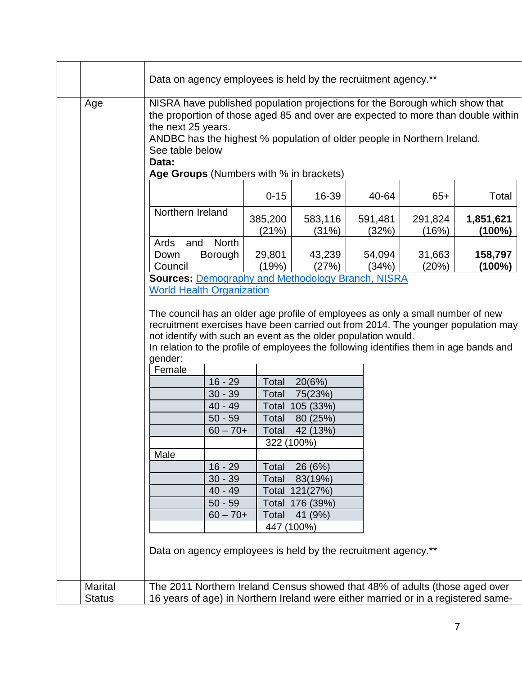|                |                                                                                                                                                                                                                                                                                                                                  | Data on agency employees is held by the recruitment agency.**                                                                                                                                                                                                    |                  |                  |                  |                        |  |  |
|----------------|----------------------------------------------------------------------------------------------------------------------------------------------------------------------------------------------------------------------------------------------------------------------------------------------------------------------------------|------------------------------------------------------------------------------------------------------------------------------------------------------------------------------------------------------------------------------------------------------------------|------------------|------------------|------------------|------------------------|--|--|
| Age            |                                                                                                                                                                                                                                                                                                                                  | NISRA have published population projections for the Borough which show that<br>the proportion of those aged 85 and over are expected to more than double within<br>the next 25 years.<br>ANDBC has the highest % population of older people in Northern Ireland. |                  |                  |                  |                        |  |  |
|                | See table below<br>Data:<br>Age Groups (Numbers with % in brackets)                                                                                                                                                                                                                                                              |                                                                                                                                                                                                                                                                  |                  |                  |                  |                        |  |  |
|                |                                                                                                                                                                                                                                                                                                                                  | $0 - 15$                                                                                                                                                                                                                                                         | 16-39            | 40-64            | $65+$            | Total                  |  |  |
|                | Northern Ireland                                                                                                                                                                                                                                                                                                                 | 385,200<br>(21%)                                                                                                                                                                                                                                                 | 583,116<br>(31%) | 591,481<br>(32%) | 291,824<br>(16%) | 1,851,621<br>$(100\%)$ |  |  |
|                | Ards<br>and<br>Borough<br>Down<br>Council                                                                                                                                                                                                                                                                                        | <b>North</b><br>29,801<br>(19%)                                                                                                                                                                                                                                  | 43,239<br>(27%)  | 54,094<br>(34%)  | 31,663<br>(20%)  | 158,797<br>(100%)      |  |  |
|                | <b>Sources: Demography and Methodology Branch, NISRA</b><br><b>World Health Organization</b>                                                                                                                                                                                                                                     |                                                                                                                                                                                                                                                                  |                  |                  |                  |                        |  |  |
|                | The council has an older age profile of employees as only a small number of new<br>recruitment exercises have been carried out from 2014. The younger population may<br>not identify with such an event as the older population would.<br>In relation to the profile of employees the following identifies them in age bands and |                                                                                                                                                                                                                                                                  |                  |                  |                  |                        |  |  |
|                | gender:<br>Female                                                                                                                                                                                                                                                                                                                |                                                                                                                                                                                                                                                                  |                  |                  |                  |                        |  |  |
|                |                                                                                                                                                                                                                                                                                                                                  | $16 - 29$<br>Total                                                                                                                                                                                                                                               | 20(6%)           |                  |                  |                        |  |  |
|                |                                                                                                                                                                                                                                                                                                                                  | Total<br>$30 - 39$                                                                                                                                                                                                                                               | 75(23%)          |                  |                  |                        |  |  |
|                |                                                                                                                                                                                                                                                                                                                                  | $40 - 49$<br>Total                                                                                                                                                                                                                                               | 105 (33%)        |                  |                  |                        |  |  |
|                |                                                                                                                                                                                                                                                                                                                                  | $50 - 59$<br>Total                                                                                                                                                                                                                                               | 80 (25%)         |                  |                  |                        |  |  |
|                |                                                                                                                                                                                                                                                                                                                                  | $60 - 70 +$<br>Total                                                                                                                                                                                                                                             | 42 (13%)         |                  |                  |                        |  |  |
|                |                                                                                                                                                                                                                                                                                                                                  |                                                                                                                                                                                                                                                                  | 322 (100%)       |                  |                  |                        |  |  |
|                | Male                                                                                                                                                                                                                                                                                                                             |                                                                                                                                                                                                                                                                  |                  |                  |                  |                        |  |  |
|                |                                                                                                                                                                                                                                                                                                                                  | $16 - 29$<br>Total                                                                                                                                                                                                                                               | 26 (6%)          |                  |                  |                        |  |  |
|                |                                                                                                                                                                                                                                                                                                                                  | $30 - 39$<br>Total                                                                                                                                                                                                                                               | 83(19%)          |                  |                  |                        |  |  |
|                |                                                                                                                                                                                                                                                                                                                                  | $40 - 49$                                                                                                                                                                                                                                                        | Total 121(27%)   |                  |                  |                        |  |  |
|                |                                                                                                                                                                                                                                                                                                                                  | $50 - 59$                                                                                                                                                                                                                                                        | Total 176 (39%)  |                  |                  |                        |  |  |
|                |                                                                                                                                                                                                                                                                                                                                  | $60 - 70 +$<br>Total                                                                                                                                                                                                                                             | 41 (9%)          |                  |                  |                        |  |  |
|                |                                                                                                                                                                                                                                                                                                                                  |                                                                                                                                                                                                                                                                  | 447 (100%)       |                  |                  |                        |  |  |
|                |                                                                                                                                                                                                                                                                                                                                  | Data on agency employees is held by the recruitment agency.**                                                                                                                                                                                                    |                  |                  |                  |                        |  |  |
| <b>Marital</b> | The 2011 Northern Ireland Census showed that 48% of adults (those aged over                                                                                                                                                                                                                                                      |                                                                                                                                                                                                                                                                  |                  |                  |                  |                        |  |  |
| <b>Status</b>  | 16 years of age) in Northern Ireland were either married or in a registered same-                                                                                                                                                                                                                                                |                                                                                                                                                                                                                                                                  |                  |                  |                  |                        |  |  |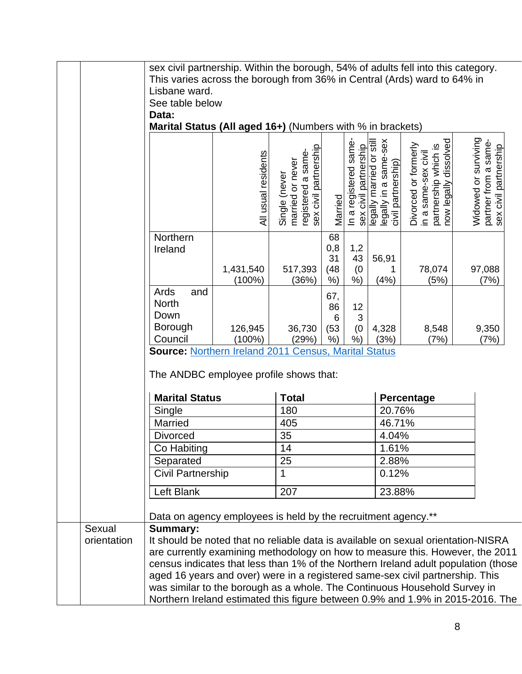|                       | sex civil partnership. Within the borough, 54% of adults fell into this category.<br>This varies across the borough from 36% in Central (Ards) ward to 64% in<br>Lisbane ward.<br>See table below<br>Data:                                                                                                                                                   |                        |                                                                                  |                                  |                                               |                                                                         |                                                                                              |                                                                       |
|-----------------------|--------------------------------------------------------------------------------------------------------------------------------------------------------------------------------------------------------------------------------------------------------------------------------------------------------------------------------------------------------------|------------------------|----------------------------------------------------------------------------------|----------------------------------|-----------------------------------------------|-------------------------------------------------------------------------|----------------------------------------------------------------------------------------------|-----------------------------------------------------------------------|
|                       | Marital Status (All aged 16+) (Numbers with % in brackets)                                                                                                                                                                                                                                                                                                   | All usual residents    | registered a same-<br>sex civil partnership<br>married or never<br>Single (never | Married                          | In a registered same<br>sex civil partnership | legally in a same-sex<br>legally married or stil.<br>civil partnership) | partnership which is<br>now legally dissolved<br>Divorced or formerly<br>in a same-sex civil | Widowed or surviving<br>partner from a same-<br>sex civil partnership |
|                       | Northern<br>Ireland                                                                                                                                                                                                                                                                                                                                          | 1,431,540<br>$(100\%)$ | 517,393<br>(36%)                                                                 | 68<br>0,8<br>31<br>(48)<br>$%$ ) | 1,2<br>43<br>(0)<br>$%$ )                     | 56,91<br>(4%)                                                           | 78,074<br>(5%)                                                                               | 97,088<br>(7%)                                                        |
|                       | Ards<br>and<br><b>North</b><br>Down<br><b>Borough</b><br>Council                                                                                                                                                                                                                                                                                             | 126,945<br>$(100\%)$   | 36,730<br>(29%)                                                                  | 67,<br>86<br>6<br>(53)<br>$%$ )  | 12<br>3<br>(0)<br>$%$ )                       | 4,328<br>(3%)                                                           | 8,548<br>(7%)                                                                                | 9,350<br>(7%)                                                         |
|                       | <b>Source: Northern Ireland 2011 Census, Marital Status</b><br>The ANDBC employee profile shows that:<br><b>Marital Status</b><br><b>Total</b><br>Percentage                                                                                                                                                                                                 |                        |                                                                                  |                                  |                                               |                                                                         |                                                                                              |                                                                       |
|                       | Single                                                                                                                                                                                                                                                                                                                                                       |                        | 180                                                                              |                                  |                                               |                                                                         | 20.76%                                                                                       |                                                                       |
|                       | Married                                                                                                                                                                                                                                                                                                                                                      |                        | 405                                                                              |                                  |                                               |                                                                         | 46.71%                                                                                       |                                                                       |
|                       | <b>Divorced</b>                                                                                                                                                                                                                                                                                                                                              |                        | 35                                                                               |                                  |                                               | 4.04%                                                                   |                                                                                              |                                                                       |
|                       | Co Habiting<br>Separated                                                                                                                                                                                                                                                                                                                                     |                        | 14<br>25                                                                         |                                  | 1.61%<br>2.88%                                |                                                                         |                                                                                              |                                                                       |
|                       | Civil Partnership                                                                                                                                                                                                                                                                                                                                            |                        | 1                                                                                |                                  |                                               | 0.12%                                                                   |                                                                                              |                                                                       |
|                       |                                                                                                                                                                                                                                                                                                                                                              |                        |                                                                                  |                                  |                                               |                                                                         |                                                                                              |                                                                       |
|                       | Left Blank                                                                                                                                                                                                                                                                                                                                                   |                        | 207                                                                              |                                  |                                               | 23.88%                                                                  |                                                                                              |                                                                       |
|                       | Data on agency employees is held by the recruitment agency.**                                                                                                                                                                                                                                                                                                |                        |                                                                                  |                                  |                                               |                                                                         |                                                                                              |                                                                       |
| Sexual<br>orientation | <b>Summary:</b><br>It should be noted that no reliable data is available on sexual orientation-NISRA<br>are currently examining methodology on how to measure this. However, the 2011<br>census indicates that less than 1% of the Northern Ireland adult population (those<br>aged 16 years and over) were in a registered same-sex civil partnership. This |                        |                                                                                  |                                  |                                               |                                                                         |                                                                                              |                                                                       |
|                       | was similar to the borough as a whole. The Continuous Household Survey in<br>Northern Ireland estimated this figure between 0.9% and 1.9% in 2015-2016. The                                                                                                                                                                                                  |                        |                                                                                  |                                  |                                               |                                                                         |                                                                                              |                                                                       |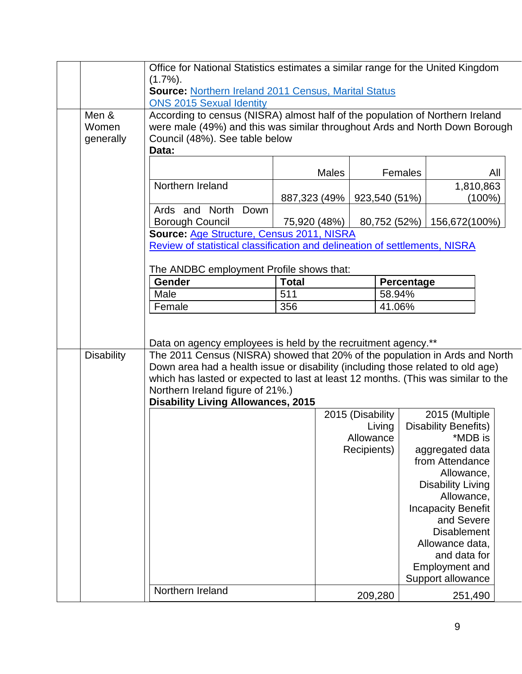| Office for National Statistics estimates a similar range for the United Kingdom<br>$(1.7\%)$ .<br><b>Source: Northern Ireland 2011 Census, Marital Status</b><br><b>ONS 2015 Sexual Identity</b><br>Men &<br>According to census (NISRA) almost half of the population of Northern Ireland<br>were male (49%) and this was similar throughout Ards and North Down Borough<br>Women<br>Council (48%). See table below<br>generally<br>Data:<br><b>Males</b><br>Females<br>All<br>Northern Ireland<br>1,810,863<br>$(100\%)$<br>887,323 (49%  <br>923,540 (51%)<br>Ards and North<br>Down<br><b>Borough Council</b><br>75,920 (48%)<br>80,752 (52%)<br>156,672(100%)<br>Source: Age Structure, Census 2011, NISRA<br>Review of statistical classification and delineation of settlements, NISRA<br>The ANDBC employment Profile shows that:<br><b>Total</b><br>Gender<br>Percentage<br>Male<br>511<br>58.94%<br>356<br>41.06%<br>Female<br>Data on agency employees is held by the recruitment agency.** |
|--------------------------------------------------------------------------------------------------------------------------------------------------------------------------------------------------------------------------------------------------------------------------------------------------------------------------------------------------------------------------------------------------------------------------------------------------------------------------------------------------------------------------------------------------------------------------------------------------------------------------------------------------------------------------------------------------------------------------------------------------------------------------------------------------------------------------------------------------------------------------------------------------------------------------------------------------------------------------------------------------------|
|                                                                                                                                                                                                                                                                                                                                                                                                                                                                                                                                                                                                                                                                                                                                                                                                                                                                                                                                                                                                        |
|                                                                                                                                                                                                                                                                                                                                                                                                                                                                                                                                                                                                                                                                                                                                                                                                                                                                                                                                                                                                        |
|                                                                                                                                                                                                                                                                                                                                                                                                                                                                                                                                                                                                                                                                                                                                                                                                                                                                                                                                                                                                        |
|                                                                                                                                                                                                                                                                                                                                                                                                                                                                                                                                                                                                                                                                                                                                                                                                                                                                                                                                                                                                        |
|                                                                                                                                                                                                                                                                                                                                                                                                                                                                                                                                                                                                                                                                                                                                                                                                                                                                                                                                                                                                        |
|                                                                                                                                                                                                                                                                                                                                                                                                                                                                                                                                                                                                                                                                                                                                                                                                                                                                                                                                                                                                        |
|                                                                                                                                                                                                                                                                                                                                                                                                                                                                                                                                                                                                                                                                                                                                                                                                                                                                                                                                                                                                        |
|                                                                                                                                                                                                                                                                                                                                                                                                                                                                                                                                                                                                                                                                                                                                                                                                                                                                                                                                                                                                        |
|                                                                                                                                                                                                                                                                                                                                                                                                                                                                                                                                                                                                                                                                                                                                                                                                                                                                                                                                                                                                        |
|                                                                                                                                                                                                                                                                                                                                                                                                                                                                                                                                                                                                                                                                                                                                                                                                                                                                                                                                                                                                        |
|                                                                                                                                                                                                                                                                                                                                                                                                                                                                                                                                                                                                                                                                                                                                                                                                                                                                                                                                                                                                        |
|                                                                                                                                                                                                                                                                                                                                                                                                                                                                                                                                                                                                                                                                                                                                                                                                                                                                                                                                                                                                        |
|                                                                                                                                                                                                                                                                                                                                                                                                                                                                                                                                                                                                                                                                                                                                                                                                                                                                                                                                                                                                        |
|                                                                                                                                                                                                                                                                                                                                                                                                                                                                                                                                                                                                                                                                                                                                                                                                                                                                                                                                                                                                        |
|                                                                                                                                                                                                                                                                                                                                                                                                                                                                                                                                                                                                                                                                                                                                                                                                                                                                                                                                                                                                        |
|                                                                                                                                                                                                                                                                                                                                                                                                                                                                                                                                                                                                                                                                                                                                                                                                                                                                                                                                                                                                        |
|                                                                                                                                                                                                                                                                                                                                                                                                                                                                                                                                                                                                                                                                                                                                                                                                                                                                                                                                                                                                        |
|                                                                                                                                                                                                                                                                                                                                                                                                                                                                                                                                                                                                                                                                                                                                                                                                                                                                                                                                                                                                        |
|                                                                                                                                                                                                                                                                                                                                                                                                                                                                                                                                                                                                                                                                                                                                                                                                                                                                                                                                                                                                        |
|                                                                                                                                                                                                                                                                                                                                                                                                                                                                                                                                                                                                                                                                                                                                                                                                                                                                                                                                                                                                        |
|                                                                                                                                                                                                                                                                                                                                                                                                                                                                                                                                                                                                                                                                                                                                                                                                                                                                                                                                                                                                        |
|                                                                                                                                                                                                                                                                                                                                                                                                                                                                                                                                                                                                                                                                                                                                                                                                                                                                                                                                                                                                        |
| The 2011 Census (NISRA) showed that 20% of the population in Ards and North<br><b>Disability</b>                                                                                                                                                                                                                                                                                                                                                                                                                                                                                                                                                                                                                                                                                                                                                                                                                                                                                                       |
| Down area had a health issue or disability (including those related to old age)                                                                                                                                                                                                                                                                                                                                                                                                                                                                                                                                                                                                                                                                                                                                                                                                                                                                                                                        |
| which has lasted or expected to last at least 12 months. (This was similar to the                                                                                                                                                                                                                                                                                                                                                                                                                                                                                                                                                                                                                                                                                                                                                                                                                                                                                                                      |
| Northern Ireland figure of 21%.)                                                                                                                                                                                                                                                                                                                                                                                                                                                                                                                                                                                                                                                                                                                                                                                                                                                                                                                                                                       |
| <b>Disability Living Allowances, 2015</b><br>2015 (Multiple<br>2015 (Disability                                                                                                                                                                                                                                                                                                                                                                                                                                                                                                                                                                                                                                                                                                                                                                                                                                                                                                                        |
| <b>Disability Benefits)</b><br>Living                                                                                                                                                                                                                                                                                                                                                                                                                                                                                                                                                                                                                                                                                                                                                                                                                                                                                                                                                                  |
| *MDB is<br>Allowance                                                                                                                                                                                                                                                                                                                                                                                                                                                                                                                                                                                                                                                                                                                                                                                                                                                                                                                                                                                   |
| Recipients)<br>aggregated data                                                                                                                                                                                                                                                                                                                                                                                                                                                                                                                                                                                                                                                                                                                                                                                                                                                                                                                                                                         |
| from Attendance                                                                                                                                                                                                                                                                                                                                                                                                                                                                                                                                                                                                                                                                                                                                                                                                                                                                                                                                                                                        |
| Allowance,                                                                                                                                                                                                                                                                                                                                                                                                                                                                                                                                                                                                                                                                                                                                                                                                                                                                                                                                                                                             |
| <b>Disability Living</b>                                                                                                                                                                                                                                                                                                                                                                                                                                                                                                                                                                                                                                                                                                                                                                                                                                                                                                                                                                               |
| Allowance,                                                                                                                                                                                                                                                                                                                                                                                                                                                                                                                                                                                                                                                                                                                                                                                                                                                                                                                                                                                             |
| <b>Incapacity Benefit</b>                                                                                                                                                                                                                                                                                                                                                                                                                                                                                                                                                                                                                                                                                                                                                                                                                                                                                                                                                                              |
| and Severe<br><b>Disablement</b>                                                                                                                                                                                                                                                                                                                                                                                                                                                                                                                                                                                                                                                                                                                                                                                                                                                                                                                                                                       |
| Allowance data,                                                                                                                                                                                                                                                                                                                                                                                                                                                                                                                                                                                                                                                                                                                                                                                                                                                                                                                                                                                        |
|                                                                                                                                                                                                                                                                                                                                                                                                                                                                                                                                                                                                                                                                                                                                                                                                                                                                                                                                                                                                        |
|                                                                                                                                                                                                                                                                                                                                                                                                                                                                                                                                                                                                                                                                                                                                                                                                                                                                                                                                                                                                        |
| and data for                                                                                                                                                                                                                                                                                                                                                                                                                                                                                                                                                                                                                                                                                                                                                                                                                                                                                                                                                                                           |
| <b>Employment and</b><br>Support allowance                                                                                                                                                                                                                                                                                                                                                                                                                                                                                                                                                                                                                                                                                                                                                                                                                                                                                                                                                             |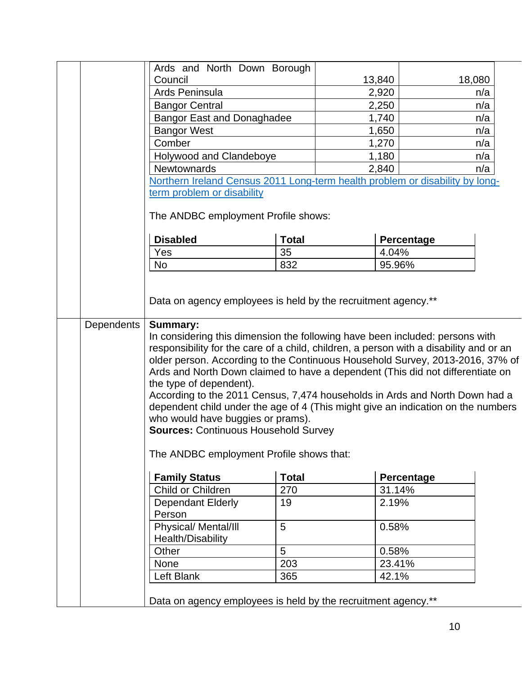|            | Ards and North Down Borough                                                                                                                                                                                                                                                                                                                                                                                                                                                                                                                                                                                                                                             |              |                                                                              |                   |        |  |
|------------|-------------------------------------------------------------------------------------------------------------------------------------------------------------------------------------------------------------------------------------------------------------------------------------------------------------------------------------------------------------------------------------------------------------------------------------------------------------------------------------------------------------------------------------------------------------------------------------------------------------------------------------------------------------------------|--------------|------------------------------------------------------------------------------|-------------------|--------|--|
|            | Council                                                                                                                                                                                                                                                                                                                                                                                                                                                                                                                                                                                                                                                                 |              | 13,840                                                                       |                   | 18,080 |  |
|            | Ards Peninsula                                                                                                                                                                                                                                                                                                                                                                                                                                                                                                                                                                                                                                                          |              | 2,920                                                                        |                   | n/a    |  |
|            | <b>Bangor Central</b>                                                                                                                                                                                                                                                                                                                                                                                                                                                                                                                                                                                                                                                   |              | 2,250                                                                        |                   | n/a    |  |
|            | <b>Bangor East and Donaghadee</b>                                                                                                                                                                                                                                                                                                                                                                                                                                                                                                                                                                                                                                       |              | 1,740                                                                        |                   | n/a    |  |
|            | <b>Bangor West</b>                                                                                                                                                                                                                                                                                                                                                                                                                                                                                                                                                                                                                                                      |              | 1,650                                                                        |                   | n/a    |  |
|            | Comber                                                                                                                                                                                                                                                                                                                                                                                                                                                                                                                                                                                                                                                                  |              | 1,270                                                                        |                   | n/a    |  |
|            | Holywood and Clandeboye                                                                                                                                                                                                                                                                                                                                                                                                                                                                                                                                                                                                                                                 |              | 1,180                                                                        |                   | n/a    |  |
|            | Newtownards                                                                                                                                                                                                                                                                                                                                                                                                                                                                                                                                                                                                                                                             |              | 2,840                                                                        |                   | n/a    |  |
|            |                                                                                                                                                                                                                                                                                                                                                                                                                                                                                                                                                                                                                                                                         |              | Northern Ireland Census 2011 Long-term health problem or disability by long- |                   |        |  |
|            | term problem or disability                                                                                                                                                                                                                                                                                                                                                                                                                                                                                                                                                                                                                                              |              |                                                                              |                   |        |  |
|            | The ANDBC employment Profile shows:                                                                                                                                                                                                                                                                                                                                                                                                                                                                                                                                                                                                                                     |              |                                                                              |                   |        |  |
|            | <b>Disabled</b>                                                                                                                                                                                                                                                                                                                                                                                                                                                                                                                                                                                                                                                         | <b>Total</b> |                                                                              | Percentage        |        |  |
|            | Yes                                                                                                                                                                                                                                                                                                                                                                                                                                                                                                                                                                                                                                                                     | 35           |                                                                              | 4.04%             |        |  |
|            | <b>No</b>                                                                                                                                                                                                                                                                                                                                                                                                                                                                                                                                                                                                                                                               | 832          |                                                                              | 95.96%            |        |  |
|            |                                                                                                                                                                                                                                                                                                                                                                                                                                                                                                                                                                                                                                                                         |              |                                                                              |                   |        |  |
| Dependents | Data on agency employees is held by the recruitment agency.**<br><b>Summary:</b>                                                                                                                                                                                                                                                                                                                                                                                                                                                                                                                                                                                        |              |                                                                              |                   |        |  |
|            | In considering this dimension the following have been included: persons with<br>responsibility for the care of a child, children, a person with a disability and or an<br>older person. According to the Continuous Household Survey, 2013-2016, 37% of<br>Ards and North Down claimed to have a dependent (This did not differentiate on<br>the type of dependent).<br>According to the 2011 Census, 7,474 households in Ards and North Down had a<br>dependent child under the age of 4 (This might give an indication on the numbers<br>who would have buggies or prams).<br><b>Sources: Continuous Household Survey</b><br>The ANDBC employment Profile shows that: |              |                                                                              |                   |        |  |
|            | <b>Family Status</b>                                                                                                                                                                                                                                                                                                                                                                                                                                                                                                                                                                                                                                                    | <b>Total</b> |                                                                              | <b>Percentage</b> |        |  |
|            | Child or Children                                                                                                                                                                                                                                                                                                                                                                                                                                                                                                                                                                                                                                                       | 270          |                                                                              | 31.14%            |        |  |
|            | <b>Dependant Elderly</b>                                                                                                                                                                                                                                                                                                                                                                                                                                                                                                                                                                                                                                                | 19           |                                                                              | 2.19%             |        |  |
|            | Person                                                                                                                                                                                                                                                                                                                                                                                                                                                                                                                                                                                                                                                                  |              |                                                                              |                   |        |  |
|            | Physical/ Mental/III                                                                                                                                                                                                                                                                                                                                                                                                                                                                                                                                                                                                                                                    | 5            |                                                                              | 0.58%             |        |  |
|            | Health/Disability                                                                                                                                                                                                                                                                                                                                                                                                                                                                                                                                                                                                                                                       | 5            |                                                                              |                   |        |  |
|            | Other                                                                                                                                                                                                                                                                                                                                                                                                                                                                                                                                                                                                                                                                   |              |                                                                              | 0.58%             |        |  |
|            | None                                                                                                                                                                                                                                                                                                                                                                                                                                                                                                                                                                                                                                                                    | 203          |                                                                              | 23.41%            |        |  |
|            | Left Blank                                                                                                                                                                                                                                                                                                                                                                                                                                                                                                                                                                                                                                                              | 365          |                                                                              | 42.1%             |        |  |
|            | Data on agency employees is held by the recruitment agency.**                                                                                                                                                                                                                                                                                                                                                                                                                                                                                                                                                                                                           |              |                                                                              |                   |        |  |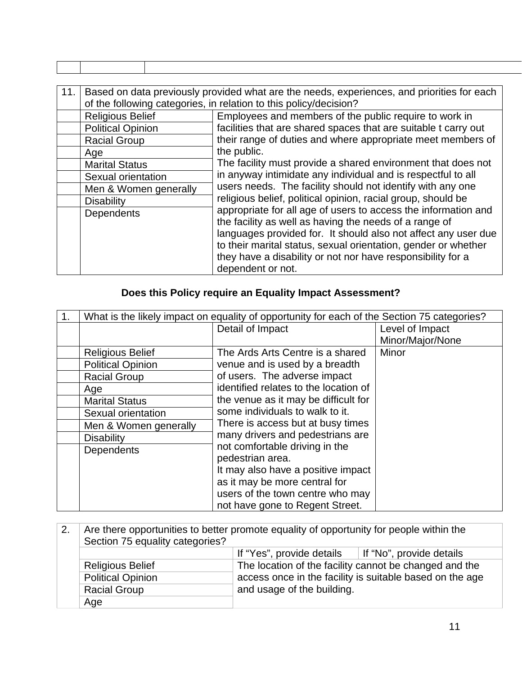| 11. | Based on data previously provided what are the needs, experiences, and priorities for each<br>of the following categories, in relation to this policy/decision? |                                                                                                                                |  |  |  |
|-----|-----------------------------------------------------------------------------------------------------------------------------------------------------------------|--------------------------------------------------------------------------------------------------------------------------------|--|--|--|
|     | <b>Religious Belief</b>                                                                                                                                         | Employees and members of the public require to work in                                                                         |  |  |  |
|     | <b>Political Opinion</b><br><b>Racial Group</b>                                                                                                                 | facilities that are shared spaces that are suitable t carry out<br>their range of duties and where appropriate meet members of |  |  |  |
|     | Age                                                                                                                                                             | the public.                                                                                                                    |  |  |  |
|     | <b>Marital Status</b>                                                                                                                                           | The facility must provide a shared environment that does not                                                                   |  |  |  |
|     | Sexual orientation                                                                                                                                              | in anyway intimidate any individual and is respectful to all                                                                   |  |  |  |
|     | Men & Women generally                                                                                                                                           | users needs. The facility should not identify with any one                                                                     |  |  |  |
|     | <b>Disability</b>                                                                                                                                               | religious belief, political opinion, racial group, should be                                                                   |  |  |  |
|     | Dependents                                                                                                                                                      | appropriate for all age of users to access the information and<br>the facility as well as having the needs of a range of       |  |  |  |
|     |                                                                                                                                                                 | languages provided for. It should also not affect any user due                                                                 |  |  |  |
|     |                                                                                                                                                                 | to their marital status, sexual orientation, gender or whether                                                                 |  |  |  |
|     |                                                                                                                                                                 | they have a disability or not nor have responsibility for a                                                                    |  |  |  |
|     |                                                                                                                                                                 | dependent or not.                                                                                                              |  |  |  |

# **Does this Policy require an Equality Impact Assessment?**

| What is the likely impact on equality of opportunity for each of the Section 75 categories? |                                       |                  |  |  |
|---------------------------------------------------------------------------------------------|---------------------------------------|------------------|--|--|
|                                                                                             | Detail of Impact                      | Level of Impact  |  |  |
|                                                                                             |                                       | Minor/Major/None |  |  |
| <b>Religious Belief</b>                                                                     | The Ards Arts Centre is a shared      | Minor            |  |  |
| <b>Political Opinion</b>                                                                    | venue and is used by a breadth        |                  |  |  |
| <b>Racial Group</b>                                                                         | of users. The adverse impact          |                  |  |  |
| Age                                                                                         | identified relates to the location of |                  |  |  |
| <b>Marital Status</b>                                                                       | the venue as it may be difficult for  |                  |  |  |
| Sexual orientation                                                                          | some individuals to walk to it.       |                  |  |  |
| Men & Women generally                                                                       | There is access but at busy times     |                  |  |  |
| <b>Disability</b>                                                                           | many drivers and pedestrians are      |                  |  |  |
| <b>Dependents</b>                                                                           | not comfortable driving in the        |                  |  |  |
|                                                                                             | pedestrian area.                      |                  |  |  |
|                                                                                             | It may also have a positive impact    |                  |  |  |
|                                                                                             | as it may be more central for         |                  |  |  |
|                                                                                             | users of the town centre who may      |                  |  |  |
|                                                                                             | not have gone to Regent Street.       |                  |  |  |

| 2.                                                  | Are there opportunities to better promote equality of opportunity for people within the<br>Section 75 equality categories? |                                                                |                                                          |  |
|-----------------------------------------------------|----------------------------------------------------------------------------------------------------------------------------|----------------------------------------------------------------|----------------------------------------------------------|--|
|                                                     |                                                                                                                            | If "Yes", provide details $\parallel$ If "No", provide details |                                                          |  |
| <b>Religious Belief</b><br><b>Political Opinion</b> |                                                                                                                            | The location of the facility cannot be changed and the         |                                                          |  |
|                                                     |                                                                                                                            |                                                                | access once in the facility is suitable based on the age |  |
|                                                     | <b>Racial Group</b>                                                                                                        | and usage of the building.                                     |                                                          |  |
|                                                     | Age                                                                                                                        |                                                                |                                                          |  |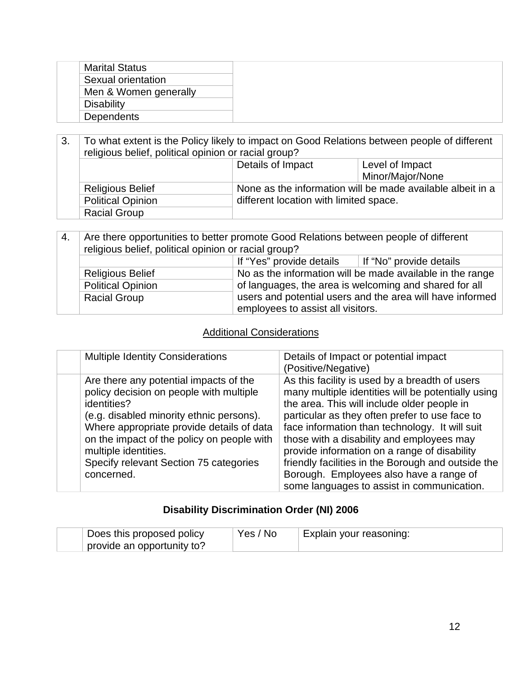| <b>Marital Status</b> |
|-----------------------|
| Sexual orientation    |
| Men & Women generally |
| <b>Disability</b>     |
| <b>Dependents</b>     |

| 3. | To what extent is the Policy likely to impact on Good Relations between people of different<br>religious belief, political opinion or racial group? |                                                            |                  |  |
|----|-----------------------------------------------------------------------------------------------------------------------------------------------------|------------------------------------------------------------|------------------|--|
|    | Details of Impact<br>Level of Impact                                                                                                                |                                                            |                  |  |
|    |                                                                                                                                                     |                                                            | Minor/Major/None |  |
|    | <b>Religious Belief</b>                                                                                                                             | None as the information will be made available albeit in a |                  |  |
|    | <b>Political Opinion</b>                                                                                                                            | different location with limited space.                     |                  |  |
|    | <b>Racial Group</b>                                                                                                                                 |                                                            |                  |  |

| 4.                                                                                   | Are there opportunities to better promote Good Relations between people of different<br>religious belief, political opinion or racial group? |                                                           |  |  |
|--------------------------------------------------------------------------------------|----------------------------------------------------------------------------------------------------------------------------------------------|-----------------------------------------------------------|--|--|
|                                                                                      | If "Yes" provide details $\parallel$ If "No" provide details                                                                                 |                                                           |  |  |
| No as the information will be made available in the range<br><b>Religious Belief</b> |                                                                                                                                              |                                                           |  |  |
| of languages, the area is welcoming and shared for all<br><b>Political Opinion</b>   |                                                                                                                                              |                                                           |  |  |
|                                                                                      | <b>Racial Group</b>                                                                                                                          | users and potential users and the area will have informed |  |  |
|                                                                                      | employees to assist all visitors.                                                                                                            |                                                           |  |  |

#### Additional Considerations

| <b>Multiple Identity Considerations</b>                                                                                                                                                                                                                                                                                 | Details of Impact or potential impact<br>(Positive/Negative)                                                                                                                                                                                                                                                                                                                                                                                                                                        |
|-------------------------------------------------------------------------------------------------------------------------------------------------------------------------------------------------------------------------------------------------------------------------------------------------------------------------|-----------------------------------------------------------------------------------------------------------------------------------------------------------------------------------------------------------------------------------------------------------------------------------------------------------------------------------------------------------------------------------------------------------------------------------------------------------------------------------------------------|
| Are there any potential impacts of the<br>policy decision on people with multiple<br>identities?<br>(e.g. disabled minority ethnic persons).<br>Where appropriate provide details of data<br>on the impact of the policy on people with<br>multiple identities.<br>Specify relevant Section 75 categories<br>concerned. | As this facility is used by a breadth of users<br>many multiple identities will be potentially using<br>the area. This will include older people in<br>particular as they often prefer to use face to<br>face information than technology. It will suit<br>those with a disability and employees may<br>provide information on a range of disability<br>friendly facilities in the Borough and outside the<br>Borough. Employees also have a range of<br>some languages to assist in communication. |

## **Disability Discrimination Order (NI) 2006**

| Does this proposed policy  | Yes / No | Explain your reasoning: |
|----------------------------|----------|-------------------------|
| provide an opportunity to? |          |                         |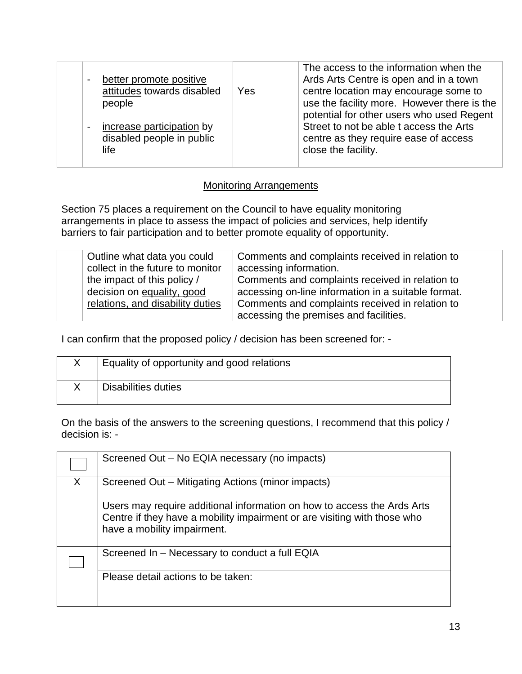| better promote positive<br>$\blacksquare$<br>attitudes towards disabled<br>people<br>increase participation by<br>$\blacksquare$<br>disabled people in public<br>life | Yes | The access to the information when the<br>Ards Arts Centre is open and in a town<br>centre location may encourage some to<br>use the facility more. However there is the<br>potential for other users who used Regent<br>Street to not be able t access the Arts<br>centre as they require ease of access<br>close the facility. |
|-----------------------------------------------------------------------------------------------------------------------------------------------------------------------|-----|----------------------------------------------------------------------------------------------------------------------------------------------------------------------------------------------------------------------------------------------------------------------------------------------------------------------------------|
|-----------------------------------------------------------------------------------------------------------------------------------------------------------------------|-----|----------------------------------------------------------------------------------------------------------------------------------------------------------------------------------------------------------------------------------------------------------------------------------------------------------------------------------|

#### Monitoring Arrangements

Section 75 places a requirement on the Council to have equality monitoring arrangements in place to assess the impact of policies and services, help identify barriers to fair participation and to better promote equality of opportunity.

| Outline what data you could      | Comments and complaints received in relation to                                           |
|----------------------------------|-------------------------------------------------------------------------------------------|
| collect in the future to monitor | accessing information.                                                                    |
| the impact of this policy /      | Comments and complaints received in relation to                                           |
| decision on equality, good       | accessing on-line information in a suitable format.                                       |
| relations, and disability duties | Comments and complaints received in relation to<br>accessing the premises and facilities. |

I can confirm that the proposed policy / decision has been screened for: -

| Equality of opportunity and good relations |
|--------------------------------------------|
| Disabilities duties                        |

On the basis of the answers to the screening questions, I recommend that this policy / decision is: -

|   | Screened Out - No EQIA necessary (no impacts)                                                                                                                                      |
|---|------------------------------------------------------------------------------------------------------------------------------------------------------------------------------------|
| X | Screened Out – Mitigating Actions (minor impacts)                                                                                                                                  |
|   | Users may require additional information on how to access the Ards Arts<br>Centre if they have a mobility impairment or are visiting with those who<br>have a mobility impairment. |
|   | Screened In - Necessary to conduct a full EQIA                                                                                                                                     |
|   | Please detail actions to be taken:                                                                                                                                                 |